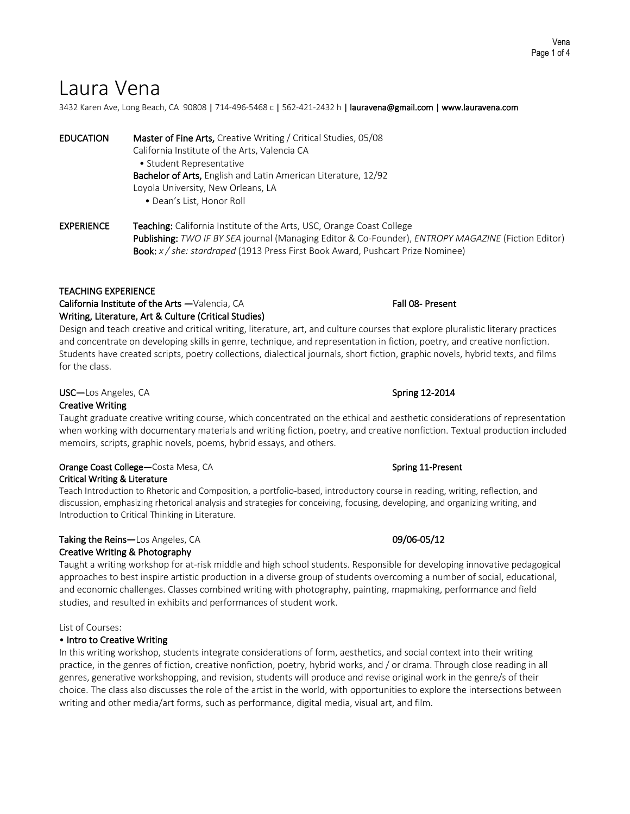# Laura Vena

3432 Karen Ave, Long Beach, CA 90808 | 714-496-5468 c | 562-421-2432 h | lauravena@gmail.com | www.lauravena.com

EDUCATION Master of Fine Arts, Creative Writing / Critical Studies, 05/08 California Institute of the Arts, Valencia CA • Student Representative Bachelor of Arts, English and Latin American Literature, 12/92 Loyola University, New Orleans, LA • Dean's List, Honor Roll

EXPERIENCE Teaching: California Institute of the Arts, USC, Orange Coast College Publishing: *TWO IF BY SEA* journal (Managing Editor & Co-Founder), *ENTROPY MAGAZINE* (Fiction Editor) Book: *x / she: stardraped* (1913 Press First Book Award, Pushcart Prize Nominee)

TEACHING EXPERIENCE<br>
California Institute of the Arts —Valencia, CA Fall 08- Present Writing, Literature, Art & Culture (Critical Studies)

Design and teach creative and critical writing, literature, art, and culture courses that explore pluralistic literary practices and concentrate on developing skills in genre, technique, and representation in fiction, poetry, and creative nonfiction. Students have created scripts, poetry collections, dialectical journals, short fiction, graphic novels, hybrid texts, and films for the class.

# USC—Los Angeles, CA Spring 12-2014

# Creative Writing

Taught graduate creative writing course, which concentrated on the ethical and aesthetic considerations of representation when working with documentary materials and writing fiction, poetry, and creative nonfiction. Textual production included memoirs, scripts, graphic novels, poems, hybrid essays, and others.

### Orange Coast College—Costa Mesa, CA Spring 11-Present Critical Writing & Literature

Teach Introduction to Rhetoric and Composition, a portfolio-based, introductory course in reading, writing, reflection, and discussion, emphasizing rhetorical analysis and strategies for conceiving, focusing, developing, and organizing writing, and Introduction to Critical Thinking in Literature.

# Taking the Reins—Los Angeles, CA 09/06-05/12 Creative Writing & Photography

Taught a writing workshop for at-risk middle and high school students. Responsible for developing innovative pedagogical approaches to best inspire artistic production in a diverse group of students overcoming a number of social, educational, and economic challenges. Classes combined writing with photography, painting, mapmaking, performance and field studies, and resulted in exhibits and performances of student work.

# List of Courses:

# • Intro to Creative Writing

In this writing workshop, students integrate considerations of form, aesthetics, and social context into their writing practice, in the genres of fiction, creative nonfiction, poetry, hybrid works, and / or drama. Through close reading in all genres, generative workshopping, and revision, students will produce and revise original work in the genre/s of their choice. The class also discusses the role of the artist in the world, with opportunities to explore the intersections between writing and other media/art forms, such as performance, digital media, visual art, and film.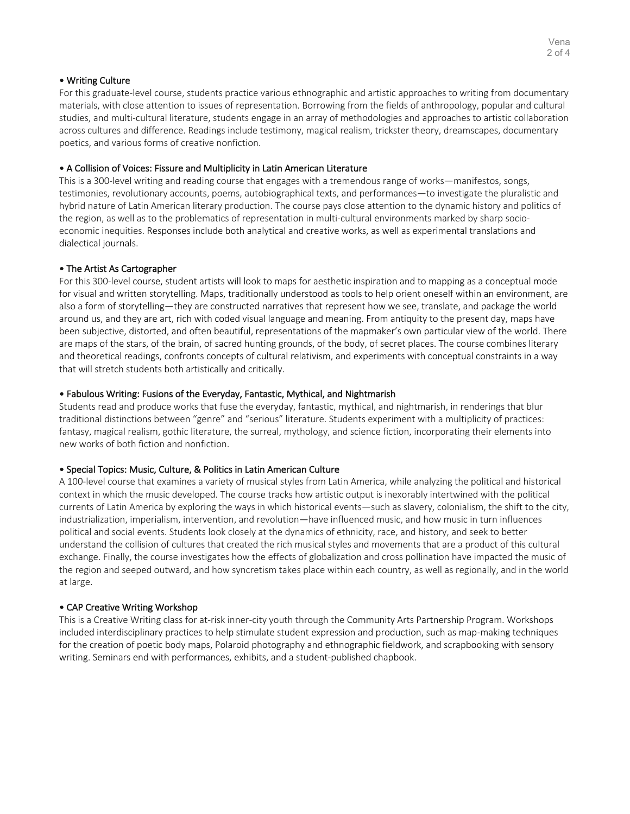# • Writing Culture

For this graduate-level course, students practice various ethnographic and artistic approaches to writing from documentary materials, with close attention to issues of representation. Borrowing from the fields of anthropology, popular and cultural studies, and multi-cultural literature, students engage in an array of methodologies and approaches to artistic collaboration across cultures and difference. Readings include testimony, magical realism, trickster theory, dreamscapes, documentary poetics, and various forms of creative nonfiction.

# • A Collision of Voices: Fissure and Multiplicity in Latin American Literature

This is a 300-level writing and reading course that engages with a tremendous range of works—manifestos, songs, testimonies, revolutionary accounts, poems, autobiographical texts, and performances—to investigate the pluralistic and hybrid nature of Latin American literary production. The course pays close attention to the dynamic history and politics of the region, as well as to the problematics of representation in multi-cultural environments marked by sharp socioeconomic inequities. Responses include both analytical and creative works, as well as experimental translations and dialectical journals.

# • The Artist As Cartographer

For this 300-level course, student artists will look to maps for aesthetic inspiration and to mapping as a conceptual mode for visual and written storytelling. Maps, traditionally understood as tools to help orient oneself within an environment, are also a form of storytelling—they are constructed narratives that represent how we see, translate, and package the world around us, and they are art, rich with coded visual language and meaning. From antiquity to the present day, maps have been subjective, distorted, and often beautiful, representations of the mapmaker's own particular view of the world. There are maps of the stars, of the brain, of sacred hunting grounds, of the body, of secret places. The course combines literary and theoretical readings, confronts concepts of cultural relativism, and experiments with conceptual constraints in a way that will stretch students both artistically and critically.

# • Fabulous Writing: Fusions of the Everyday, Fantastic, Mythical, and Nightmarish

Students read and produce works that fuse the everyday, fantastic, mythical, and nightmarish, in renderings that blur traditional distinctions between "genre" and "serious" literature. Students experiment with a multiplicity of practices: fantasy, magical realism, gothic literature, the surreal, mythology, and science fiction, incorporating their elements into new works of both fiction and nonfiction.

# • Special Topics: Music, Culture, & Politics in Latin American Culture

A 100-level course that examines a variety of musical styles from Latin America, while analyzing the political and historical context in which the music developed. The course tracks how artistic output is inexorably intertwined with the political currents of Latin America by exploring the ways in which historical events—such as slavery, colonialism, the shift to the city, industrialization, imperialism, intervention, and revolution—have influenced music, and how music in turn influences political and social events. Students look closely at the dynamics of ethnicity, race, and history, and seek to better understand the collision of cultures that created the rich musical styles and movements that are a product of this cultural exchange. Finally, the course investigates how the effects of globalization and cross pollination have impacted the music of the region and seeped outward, and how syncretism takes place within each country, as well as regionally, and in the world at large.

# • CAP Creative Writing Workshop

This is a Creative Writing class for at-risk inner-city youth through the Community Arts Partnership Program. Workshops included interdisciplinary practices to help stimulate student expression and production, such as map-making techniques for the creation of poetic body maps, Polaroid photography and ethnographic fieldwork, and scrapbooking with sensory writing. Seminars end with performances, exhibits, and a student-published chapbook.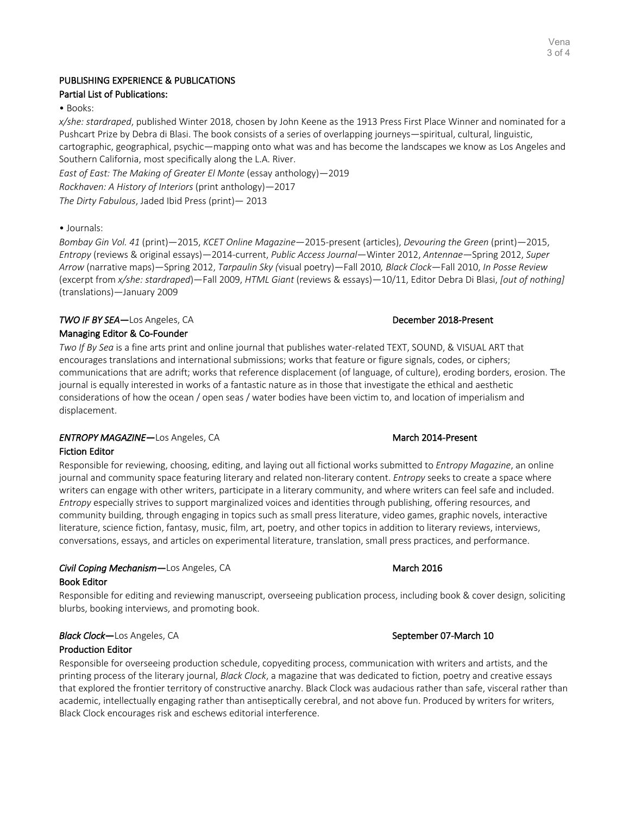# PUBLISHING EXPERIENCE & PUBLICATIONS Partial List of Publications:

• Books:

*x/she: stardraped*, published Winter 2018, chosen by John Keene as the 1913 Press First Place Winner and nominated for a Pushcart Prize by Debra di Blasi. The book consists of a series of overlapping journeys—spiritual, cultural, linguistic, cartographic, geographical, psychic—mapping onto what was and has become the landscapes we know as Los Angeles and Southern California, most specifically along the L.A. River.

*East of East: The Making of Greater El Monte* (essay anthology)—2019 *Rockhaven: A History of Interiors* (print anthology)—2017 *The Dirty Fabulous*, Jaded Ibid Press (print)— 2013

# • Journals:

*Bombay Gin Vol. 41* (print)—2015, *KCET Online Magazine*—2015-present (articles), *Devouring the Green* (print)—2015, *Entropy* (reviews & original essays)—2014-current, *Public Access Journal*—Winter 2012, *Antennae*—Spring 2012, *Super Arrow* (narrative maps)—Spring 2012, *Tarpaulin Sky (*visual poetry)—Fall 2010*, Black Clock*—Fall 2010, *In Posse Review* (excerpt from *x/she: stardraped*)—Fall 2009, *HTML Giant* (reviews & essays)—10/11, Editor Debra Di Blasi, *[out of nothing]*  (translations)—January 2009

# *TWO IF BY SEA***—Los Angeles, CA** December 2018-Present

# Managing Editor & Co-Founder

*Two If By Sea* is a fine arts print and online journal that publishes water-related TEXT, SOUND, & VISUAL ART that encourages translations and international submissions; works that feature or figure signals, codes, or ciphers; communications that are adrift; works that reference displacement (of language, of culture), eroding borders, erosion. The journal is equally interested in works of a fantastic nature as in those that investigate the ethical and aesthetic considerations of how the ocean / open seas / water bodies have been victim to, and location of imperialism and displacement.

# **ENTROPY MAGAZINE—Los Angeles, CA** March 2014-Present

# Fiction Editor

Responsible for reviewing, choosing, editing, and laying out all fictional works submitted to *Entropy Magazine*, an online journal and community space featuring literary and related non-literary content. *Entropy* seeks to create a space where writers can engage with other writers, participate in a literary community, and where writers can feel safe and included. *Entropy* especially strives to support marginalized voices and identities through publishing, offering resources, and community building, through engaging in topics such as small press literature, video games, graphic novels, interactive literature, science fiction, fantasy, music, film, art, poetry, and other topics in addition to literary reviews, interviews, conversations, essays, and articles on experimental literature, translation, small press practices, and performance.

# **Civil Coping Mechanism—Los Angeles, CA March 2016** March 2016 Book Editor

Responsible for editing and reviewing manuscript, overseeing publication process, including book & cover design, soliciting blurbs, booking interviews, and promoting book.

# **Black Clock—Los Angeles, CA** September 07-March 10

Production Editor

Responsible for overseeing production schedule, copyediting process, communication with writers and artists, and the printing process of the literary journal, *Black Clock*, a magazine that was dedicated to fiction, poetry and creative essays that explored the frontier territory of constructive anarchy. Black Clock was audacious rather than safe, visceral rather than academic, intellectually engaging rather than antiseptically cerebral, and not above fun. Produced by writers for writers, Black Clock encourages risk and eschews editorial interference.